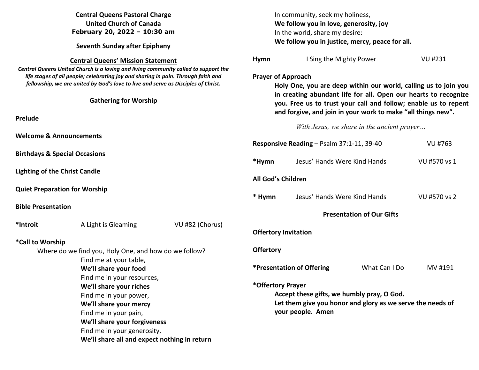| <b>Central Queens Pastoral Charge</b>                                                                                                                                                                                                                         |                                                                               |                 | In community, seek my holiness,                                                                                                                                                                    |                              |                                            |              |  |
|---------------------------------------------------------------------------------------------------------------------------------------------------------------------------------------------------------------------------------------------------------------|-------------------------------------------------------------------------------|-----------------|----------------------------------------------------------------------------------------------------------------------------------------------------------------------------------------------------|------------------------------|--------------------------------------------|--------------|--|
| <b>United Church of Canada</b>                                                                                                                                                                                                                                |                                                                               |                 | We follow you in love, generosity, joy                                                                                                                                                             |                              |                                            |              |  |
| February 20, 2022 - 10:30 am<br><b>Seventh Sunday after Epiphany</b>                                                                                                                                                                                          |                                                                               |                 | In the world, share my desire:<br>We follow you in justice, mercy, peace for all.                                                                                                                  |                              |                                            |              |  |
|                                                                                                                                                                                                                                                               |                                                                               |                 |                                                                                                                                                                                                    |                              |                                            |              |  |
| Central Queens United Church is a loving and living community called to support the<br>life stages of all people; celebrating joy and sharing in pain. Through faith and<br>fellowship, we are united by God's love to live and serve as Disciples of Christ. |                                                                               |                 | <b>Prayer of Approach</b><br>Holy One, you are deep within our world, calling us to join you                                                                                                       |                              |                                            |              |  |
|                                                                                                                                                                                                                                                               | <b>Gathering for Worship</b>                                                  |                 | in creating abundant life for all. Open our hearts to recognize<br>you. Free us to trust your call and follow; enable us to repent<br>and forgive, and join in your work to make "all things new". |                              |                                            |              |  |
| Prelude                                                                                                                                                                                                                                                       |                                                                               |                 |                                                                                                                                                                                                    |                              |                                            |              |  |
|                                                                                                                                                                                                                                                               |                                                                               |                 |                                                                                                                                                                                                    |                              | With Jesus, we share in the ancient prayer |              |  |
| <b>Welcome &amp; Announcements</b>                                                                                                                                                                                                                            |                                                                               |                 |                                                                                                                                                                                                    |                              |                                            |              |  |
|                                                                                                                                                                                                                                                               |                                                                               |                 | Responsive Reading - Psalm 37:1-11, 39-40<br>VU #763                                                                                                                                               |                              |                                            |              |  |
| <b>Birthdays &amp; Special Occasions</b>                                                                                                                                                                                                                      |                                                                               |                 |                                                                                                                                                                                                    |                              |                                            |              |  |
|                                                                                                                                                                                                                                                               |                                                                               |                 | *Hymn                                                                                                                                                                                              | Jesus' Hands Were Kind Hands |                                            | VU #570 vs 1 |  |
| <b>Lighting of the Christ Candle</b>                                                                                                                                                                                                                          |                                                                               |                 | All God's Children                                                                                                                                                                                 |                              |                                            |              |  |
|                                                                                                                                                                                                                                                               | <b>Quiet Preparation for Worship</b>                                          |                 |                                                                                                                                                                                                    |                              |                                            |              |  |
|                                                                                                                                                                                                                                                               |                                                                               |                 | * Hymn                                                                                                                                                                                             | Jesus' Hands Were Kind Hands |                                            | VU #570 vs 2 |  |
| <b>Bible Presentation</b>                                                                                                                                                                                                                                     |                                                                               |                 |                                                                                                                                                                                                    |                              |                                            |              |  |
|                                                                                                                                                                                                                                                               |                                                                               |                 | <b>Presentation of Our Gifts</b>                                                                                                                                                                   |                              |                                            |              |  |
| *Introit                                                                                                                                                                                                                                                      | A Light is Gleaming                                                           | VU #82 (Chorus) |                                                                                                                                                                                                    |                              |                                            |              |  |
|                                                                                                                                                                                                                                                               |                                                                               |                 | <b>Offertory Invitation</b>                                                                                                                                                                        |                              |                                            |              |  |
| *Call to Worship                                                                                                                                                                                                                                              |                                                                               |                 |                                                                                                                                                                                                    |                              |                                            |              |  |
| Where do we find you, Holy One, and how do we follow?                                                                                                                                                                                                         |                                                                               |                 | <b>Offertory</b>                                                                                                                                                                                   |                              |                                            |              |  |
|                                                                                                                                                                                                                                                               | Find me at your table,<br>We'll share your food<br>Find me in your resources, |                 |                                                                                                                                                                                                    |                              |                                            |              |  |
|                                                                                                                                                                                                                                                               |                                                                               |                 | <i><b>*Presentation of Offering</b></i><br>What Can I Do                                                                                                                                           |                              |                                            | MV #191      |  |
|                                                                                                                                                                                                                                                               |                                                                               |                 |                                                                                                                                                                                                    |                              |                                            |              |  |
| We'll share your riches                                                                                                                                                                                                                                       |                                                                               |                 | *Offertory Prayer                                                                                                                                                                                  |                              |                                            |              |  |
|                                                                                                                                                                                                                                                               | Find me in your power,<br>We'll share your mercy                              |                 | Accept these gifts, we humbly pray, O God.<br>Let them give you honor and glory as we serve the needs of                                                                                           |                              |                                            |              |  |
|                                                                                                                                                                                                                                                               |                                                                               |                 |                                                                                                                                                                                                    |                              |                                            |              |  |
| Find me in your pain,                                                                                                                                                                                                                                         |                                                                               |                 |                                                                                                                                                                                                    | your people. Amen            |                                            |              |  |
|                                                                                                                                                                                                                                                               | We'll share your forgiveness<br>Find me in your generosity,                   |                 |                                                                                                                                                                                                    |                              |                                            |              |  |
| We'll share all and expect nothing in return                                                                                                                                                                                                                  |                                                                               |                 |                                                                                                                                                                                                    |                              |                                            |              |  |
|                                                                                                                                                                                                                                                               |                                                                               |                 |                                                                                                                                                                                                    |                              |                                            |              |  |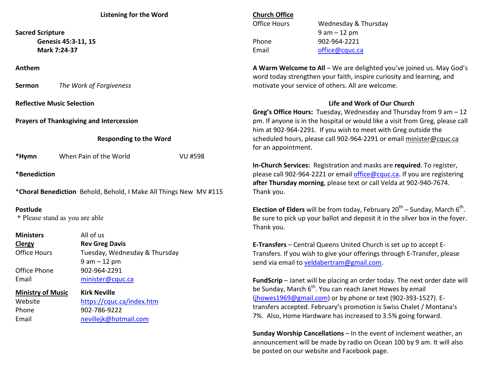| <b>Listening for the Word</b>                                     |                                           |                | <b>Church Office</b>                                                                                                                                                         |                                                                            |  |  |
|-------------------------------------------------------------------|-------------------------------------------|----------------|------------------------------------------------------------------------------------------------------------------------------------------------------------------------------|----------------------------------------------------------------------------|--|--|
|                                                                   |                                           |                | <b>Office Hours</b>                                                                                                                                                          | Wednesday & Thursday                                                       |  |  |
| <b>Sacred Scripture</b>                                           |                                           |                |                                                                                                                                                                              | $9 am - 12 pm$                                                             |  |  |
| Genesis 45:3-11, 15                                               |                                           |                | Phone                                                                                                                                                                        | 902-964-2221                                                               |  |  |
| Mark 7:24-37                                                      |                                           |                | Email                                                                                                                                                                        | office@cquc.ca                                                             |  |  |
|                                                                   |                                           |                |                                                                                                                                                                              |                                                                            |  |  |
| Anthem                                                            |                                           |                | A Warm Welcome to All - We are delighted you've joined us. May God's                                                                                                         |                                                                            |  |  |
|                                                                   |                                           |                |                                                                                                                                                                              | word today strengthen your faith, inspire curiosity and learning, and      |  |  |
| The Work of Forgiveness<br>Sermon                                 |                                           |                | motivate your service of others. All are welcome.                                                                                                                            |                                                                            |  |  |
| <b>Reflective Music Selection</b>                                 |                                           |                |                                                                                                                                                                              | Life and Work of Our Church                                                |  |  |
|                                                                   |                                           |                | Greg's Office Hours: Tuesday, Wednesday and Thursday from 9 am - 12                                                                                                          |                                                                            |  |  |
| <b>Prayers of Thanksgiving and Intercession</b>                   |                                           |                | pm. If anyone is in the hospital or would like a visit from Greg, please call                                                                                                |                                                                            |  |  |
|                                                                   |                                           |                | him at 902-964-2291. If you wish to meet with Greg outside the                                                                                                               |                                                                            |  |  |
| <b>Responding to the Word</b>                                     |                                           |                | scheduled hours, please call 902-964-2291 or email minister@cquc.ca                                                                                                          |                                                                            |  |  |
|                                                                   |                                           |                | for an appointment.                                                                                                                                                          |                                                                            |  |  |
| *Hymn                                                             | When Pain of the World                    | <b>VU #598</b> |                                                                                                                                                                              |                                                                            |  |  |
|                                                                   |                                           |                |                                                                                                                                                                              | In-Church Services: Registration and masks are required. To register,      |  |  |
| *Benediction                                                      |                                           |                |                                                                                                                                                                              | please call 902-964-2221 or email office@cquc.ca. If you are registering   |  |  |
|                                                                   |                                           |                |                                                                                                                                                                              | after Thursday morning, please text or call Velda at 902-940-7674.         |  |  |
| *Choral Benediction Behold, Behold, I Make All Things New MV #115 |                                           |                | Thank you.                                                                                                                                                                   |                                                                            |  |  |
| Postlude                                                          |                                           |                |                                                                                                                                                                              |                                                                            |  |  |
| * Please stand as you are able                                    |                                           |                | <b>Election of Elders</b> will be from today, February $20^{th}$ – Sunday, March $6^{th}$ .<br>Be sure to pick up your ballot and deposit it in the silver box in the foyer. |                                                                            |  |  |
|                                                                   |                                           |                | Thank you.                                                                                                                                                                   |                                                                            |  |  |
| <b>Ministers</b>                                                  | All of us                                 |                |                                                                                                                                                                              |                                                                            |  |  |
| <b>Clergy</b>                                                     | <b>Rev Greg Davis</b>                     |                |                                                                                                                                                                              | E-Transfers - Central Queens United Church is set up to accept E-          |  |  |
| <b>Office Hours</b>                                               | Tuesday, Wednesday & Thursday             |                | Transfers. If you wish to give your offerings through E-Transfer, please                                                                                                     |                                                                            |  |  |
|                                                                   | $9 am - 12 pm$                            |                |                                                                                                                                                                              | send via email to veldabertram@gmail.com.                                  |  |  |
| Office Phone                                                      | 902-964-2291                              |                |                                                                                                                                                                              |                                                                            |  |  |
| Email                                                             | minister@cquc.ca                          |                |                                                                                                                                                                              | FundScrip - Janet will be placing an order today. The next order date will |  |  |
|                                                                   |                                           |                |                                                                                                                                                                              | be Sunday, March 6 <sup>th</sup> . You can reach Janet Howes by email      |  |  |
| <b>Ministry of Music</b>                                          | <b>Kirk Neville</b>                       |                |                                                                                                                                                                              | (jhowes1969@gmail.com) or by phone or text (902-393-1527). E-              |  |  |
| Website<br>Phone                                                  | https://cquc.ca/index.htm<br>902-786-9222 |                |                                                                                                                                                                              | transfers accepted. February's promotion is Swiss Chalet / Montana's       |  |  |
| Email                                                             | nevillejk@hotmail.com                     |                | 7%. Also, Home Hardware has increased to 3.5% going forward.                                                                                                                 |                                                                            |  |  |
|                                                                   |                                           |                |                                                                                                                                                                              |                                                                            |  |  |
|                                                                   |                                           |                |                                                                                                                                                                              |                                                                            |  |  |

**Sunday Worship Cancellations** – In the event of inclement weather, an announcement will be made by radio on Ocean 100 by 9 am. It will also be posted on our website and Facebook page.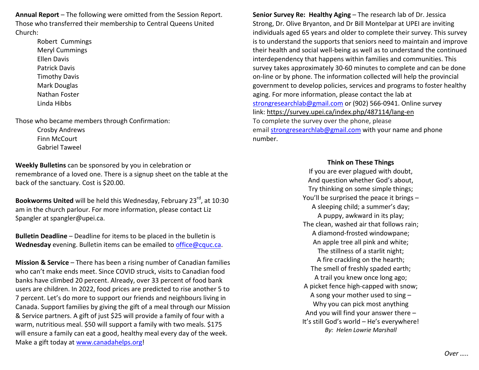**Annual Report** – The following were omitted from the Session Report. Those who transferred their membership to Central Queens United Church:

> Robert Cummings Meryl Cummings Ellen Davis Patrick Davis Timothy Davis Mark Douglas Nathan Foster Linda Hibbs

Those who became members through Confirmation:

 Crosby Andrews Finn McCourt Gabriel Taweel

**Weekly Bulletins** can be sponsored by you in celebration or remembrance of a loved one. There is a signup sheet on the table at the back of the sanctuary. Cost is \$20.00.

**Bookworms United** will be held this Wednesday, February 23<sup>rd</sup>, at 10:30 am in the church parlour. For more information, please contact Liz Spangler at spangler@upei.ca.

**Bulletin Deadline** – Deadline for items to be placed in the bulletin is **Wednesday** evening. Bulletin items can be emailed to office@cquc.ca.

**Mission & Service** – There has been a rising number of Canadian families who can't make ends meet. Since COVID struck, visits to Canadian food banks have climbed 20 percent. Already, over 33 percent of food bank users are children. In 2022, food prices are predicted to rise another 5 to 7 percent. Let's do more to support our friends and neighbours living in Canada. Support families by giving the gift of a meal through our Mission & Service partners. A gift of just \$25 will provide a family of four with a warm, nutritious meal. \$50 will support a family with two meals. \$175 will ensure a family can eat a good, healthy meal every day of the week. Make a gift today at www.canadahelps.org!

**Senior Survey Re: Healthy Aging** – The research lab of Dr. Jessica Strong, Dr. Olive Bryanton, and Dr Bill Montelpar at UPEI are inviting individuals aged 65 years and older to complete their survey. This survey is to understand the supports that seniors need to maintain and improve their health and social well-being as well as to understand the continued interdependency that happens within families and communities. This survey takes approximately 30-60 minutes to complete and can be done on-line or by phone. The information collected will help the provincial government to develop policies, services and programs to foster healthy aging. For more information, please contact the lab at strongresearchlab@gmail.com or (902) 566-0941. Online survey link: https://survey.upei.ca/index.php/487114/lang-enTo complete the survey over the phone, please email strongresearchlab@gmail.com with your name and phone number.

## **Think on These Things**

 If you are ever plagued with doubt, And question whether God's about, Try thinking on some simple things; You'll be surprised the peace it brings – A sleeping child; a summer's day; A puppy, awkward in its play; The clean, washed air that follows rain; A diamond-frosted windowpane; An apple tree all pink and white; The stillness of a starlit night; A fire crackling on the hearth; The smell of freshly spaded earth; A trail you knew once long ago; A picket fence high-capped with snow; A song your mother used to sing – Why you can pick most anything And you will find your answer there – It's still God's world – He's everywhere! *By: Helen Lowrie Marshall*